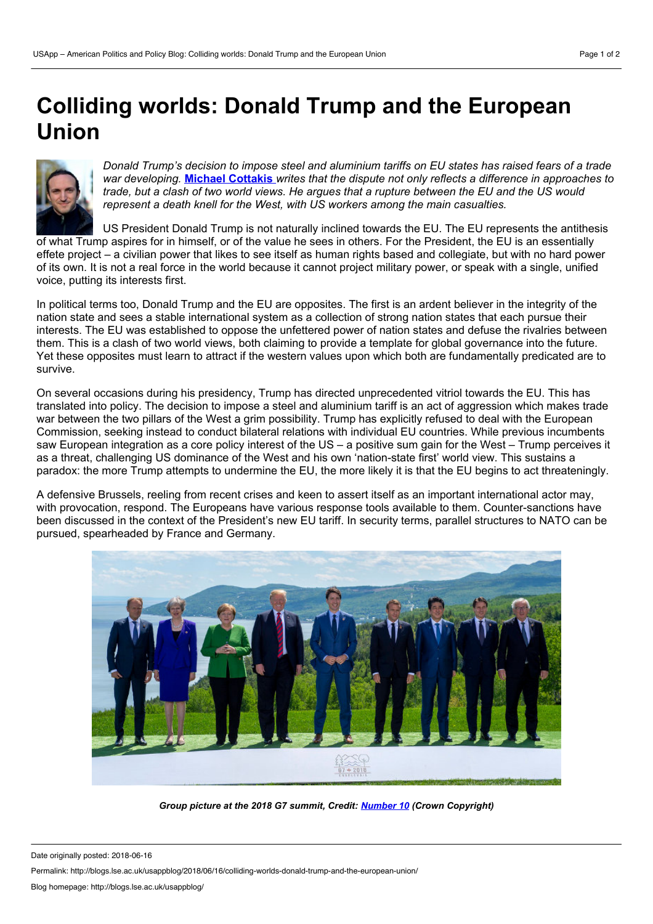## <span id="page-0-0"></span>**Colliding worlds: Donald Trump and the European Union**



*Donald Trump's decision to impose steeland aluminium tariffs on EU states has raised fears of a trade war developing.* **Michael [Cottakis](#page-0-0)** *writes that the dispute not only reflects a difference in approaches to* trade, but a clash of two world views. He argues that a rupture between the EU and the US would *represent a death knell for the West, with US workers among the main casualties.*

US President Donald Trump is not naturally inclined towards the EU. The EU represents the antithesis of what Trump aspires for in himself, or of the value he sees in others. For the President, the EU is an essentially effete project – a civilian power that likes to see itself as human rights based and collegiate, but with no hard power of its own. It is not a real force in the world because it cannot project military power, or speak with a single, unified voice, putting its interests first.

In political terms too, Donald Trump and the EU are opposites. The first is an ardent believer in the integrity of the nation state and sees a stable international system as a collection of strong nation states that each pursue their interests. The EU was established to oppose the unfettered power of nation states and defuse the rivalries between them. This is a clash of two world views, both claiming to provide a template for global governance into the future. Yet these opposites must learn to attract if the western values upon which both are fundamentally predicated are to survive.

On several occasions during his presidency, Trump has directed unprecedented vitriol towards the EU. This has translated into policy. The decision to impose a steel and aluminium tariff is an act of aggression which makes trade war between the two pillars of the West a grim possibility. Trump has explicitly refused to deal with the European Commission, seeking instead to conduct bilateral relations with individual EU countries. While previous incumbents saw European integration as a core policy interest of the US – a positive sum gain for the West – Trump perceives it as a threat, challenging US dominance of the West and his own 'nation-state first' world view. This sustains a paradox: the more Trump attempts to undermine the EU, the more likely it is that the EU begins to act threateningly.

A defensive Brussels, reeling from recent crises and keen to assert itself as an important international actor may, with provocation, respond. The Europeans have various response tools available to them. Counter-sanctions have been discussed in the context of the President's new EU tariff. In security terms, parallel structures to NATO can be pursued, spearheaded by France and Germany.



*Group picture at the 2018 G7 summit, Credit: [Number](https://www.flickr.com/photos/number10gov/40870383420/in/photostream/) 10 (Crown Copyright)*

Date originally posted: 2018-06-16

Permalink: http://blogs.lse.ac.uk/usappblog/2018/06/16/colliding-worlds-donald-trump-and-the-european-union/